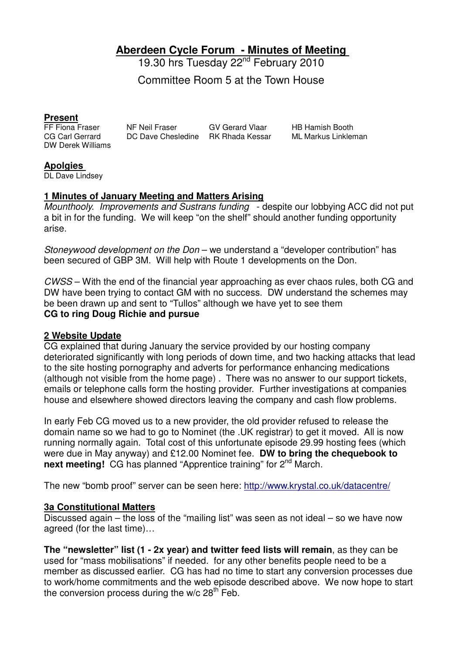**Aberdeen Cycle Forum - Minutes of Meeting** 

19.30 hrs Tuesday 22<sup>nd</sup> February 2010

Committee Room 5 at the Town House

**Present**<br>FF Fiona Fraser DW Derek Williams

FF Fiona Fraser MF Neil Fraser GV Gerard Vlaar HB Hamish Booth<br>CG Carl Gerrard DC Dave Chesledine RK Rhada Kessar ML Markus Linkler

DC Dave Chesledine RK Rhada Kessar ML Markus Linkleman

#### **Apolgies**

DL Dave Lindsey

#### **1 Minutes of January Meeting and Matters Arising**

Mounthooly. Improvements and Sustrans funding - despite our lobbying ACC did not put a bit in for the funding. We will keep "on the shelf" should another funding opportunity arise.

Stoneywood development on the Don – we understand a "developer contribution" has been secured of GBP 3M. Will help with Route 1 developments on the Don.

CWSS – With the end of the financial year approaching as ever chaos rules, both CG and DW have been trying to contact GM with no success. DW understand the schemes may be been drawn up and sent to "Tullos" although we have yet to see them **CG to ring Doug Richie and pursue** 

#### **2 Website Update**

CG explained that during January the service provided by our hosting company deteriorated significantly with long periods of down time, and two hacking attacks that lead to the site hosting pornography and adverts for performance enhancing medications (although not visible from the home page) . There was no answer to our support tickets, emails or telephone calls form the hosting provider. Further investigations at companies house and elsewhere showed directors leaving the company and cash flow problems.

In early Feb CG moved us to a new provider, the old provider refused to release the domain name so we had to go to Nominet (the .UK registrar) to get it moved. All is now running normally again. Total cost of this unfortunate episode 29.99 hosting fees (which were due in May anyway) and £12.00 Nominet fee. **DW to bring the chequebook to next meeting!** CG has planned "Apprentice training" for 2<sup>nd</sup> March.

The new "bomb proof" server can be seen here: http://www.krystal.co.uk/datacentre/

### **3a Constitutional Matters**

Discussed again – the loss of the "mailing list" was seen as not ideal – so we have now agreed (for the last time)…

**The "newsletter" list (1 - 2x year) and twitter feed lists will remain**, as they can be used for "mass mobilisations" if needed. for any other benefits people need to be a member as discussed earlier. CG has had no time to start any conversion processes due to work/home commitments and the web episode described above. We now hope to start the conversion process during the  $w/c$  28<sup>th</sup> Feb.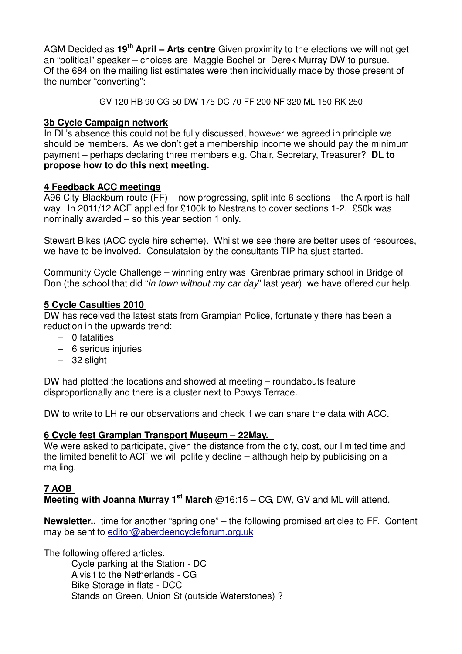AGM Decided as **19th April – Arts centre** Given proximity to the elections we will not get an "political" speaker – choices are Maggie Bochel or Derek Murray DW to pursue. Of the 684 on the mailing list estimates were then individually made by those present of the number "converting":

GV 120 HB 90 CG 50 DW 175 DC 70 FF 200 NF 320 ML 150 RK 250

## **3b Cycle Campaign network**

In DL's absence this could not be fully discussed, however we agreed in principle we should be members. As we don't get a membership income we should pay the minimum payment – perhaps declaring three members e.g. Chair, Secretary, Treasurer? **DL to propose how to do this next meeting.**

# **4 Feedback ACC meetings**

A96 City-Blackburn route (FF) – now progressing, split into 6 sections – the Airport is half way. In 2011/12 ACF applied for £100k to Nestrans to cover sections 1-2. £50k was nominally awarded – so this year section 1 only.

Stewart Bikes (ACC cycle hire scheme). Whilst we see there are better uses of resources, we have to be involved. Consulataion by the consultants TIP ha sjust started.

Community Cycle Challenge – winning entry was Grenbrae primary school in Bridge of Don (the school that did "in town without my car day" last year) we have offered our help.

### **5 Cycle Casulties 2010**

DW has received the latest stats from Grampian Police, fortunately there has been a reduction in the upwards trend:

- − 0 fatalities
- − 6 serious injuries
- − 32 slight

DW had plotted the locations and showed at meeting – roundabouts feature disproportionally and there is a cluster next to Powys Terrace.

DW to write to LH re our observations and check if we can share the data with ACC.

# **6 Cycle fest Grampian Transport Museum – 22May.**

We were asked to participate, given the distance from the city, cost, our limited time and the limited benefit to ACF we will politely decline – although help by publicising on a mailing.

# **7 AOB**

**Meeting with Joanna Murray 1st March** @16:15 – CG, DW, GV and ML will attend,

**Newsletter..** time for another "spring one" – the following promised articles to FF. Content may be sent to editor@aberdeencycleforum.org.uk

The following offered articles.

Cycle parking at the Station - DC A visit to the Netherlands - CG Bike Storage in flats - DCC Stands on Green, Union St (outside Waterstones) ?